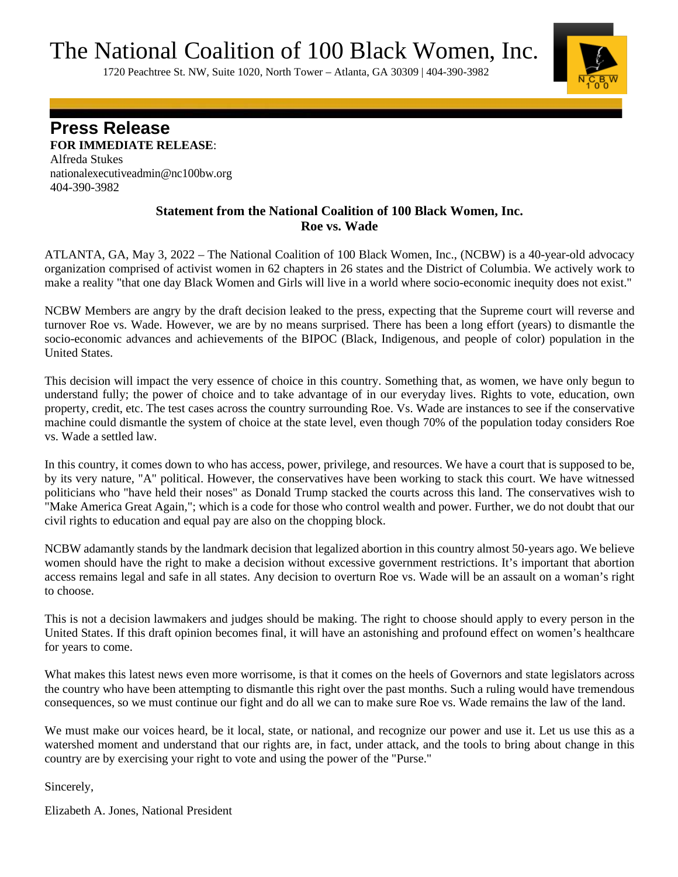The National Coalition of 100 Black Women, Inc.<br>1720 Peachtree St. NW, Suite 1020, North Tower – Atlanta, GA 30309 | 404-390-3982



**Press Release**

**FOR IMMEDIATE RELEASE**: Alfreda Stukes [nationalexecutiveadmin@nc100bw.org](mailto:nationalexecutiveadmin@nc100bw.org)  404-390-3982

## **Statement from the National Coalition of 100 Black Women, Inc. Roe vs. Wade**

ATLANTA, GA, May 3, 2022 – The National Coalition of 100 Black Women, Inc., (NCBW) is a 40-year-old advocacy organization comprised of activist women in 62 chapters in 26 states and the District of Columbia. We actively work to make a reality "that one day Black Women and Girls will live in a world where socio-economic inequity does not exist."

NCBW Members are angry by the draft decision leaked to the press, expecting that the Supreme court will reverse and turnover Roe vs. Wade. However, we are by no means surprised. There has been a long effort (years) to dismantle the socio-economic advances and achievements of the BIPOC (Black, Indigenous, and people of color) population in the United States.

This decision will impact the very essence of choice in this country. Something that, as women, we have only begun to understand fully; the power of choice and to take advantage of in our everyday lives. Rights to vote, education, own property, credit, etc. The test cases across the country surrounding Roe. Vs. Wade are instances to see if the conservative machine could dismantle the system of choice at the state level, even though 70% of the population today considers Roe vs. Wade a settled law.

In this country, it comes down to who has access, power, privilege, and resources. We have a court that is supposed to be, by its very nature, "A" political. However, the conservatives have been working to stack this court. We have witnessed politicians who "have held their noses" as Donald Trump stacked the courts across this land. The conservatives wish to "Make America Great Again,"; which is a code for those who control wealth and power. Further, we do not doubt that our civil rights to education and equal pay are also on the chopping block.

NCBW adamantly stands by the landmark decision that legalized abortion in this country almost 50-years ago. We believe women should have the right to make a decision without excessive government restrictions. It's important that abortion access remains legal and safe in all states. Any decision to overturn Roe vs. Wade will be an assault on a woman's right to choose.

This is not a decision lawmakers and judges should be making. The right to choose should apply to every person in the United States. If this draft opinion becomes final, it will have an astonishing and profound effect on women's healthcare for years to come.

What makes this latest news even more worrisome, is that it comes on the heels of Governors and state legislators across the country who have been attempting to dismantle this right over the past months. Such a ruling would have tremendous consequences, so we must continue our fight and do all we can to make sure Roe vs. Wade remains the law of the land.

We must make our voices heard, be it local, state, or national, and recognize our power and use it. Let us use this as a watershed moment and understand that our rights are, in fact, under attack, and the tools to bring about change in this country are by exercising your right to vote and using the power of the "Purse."

Sincerely,

Elizabeth A. Jones, National President